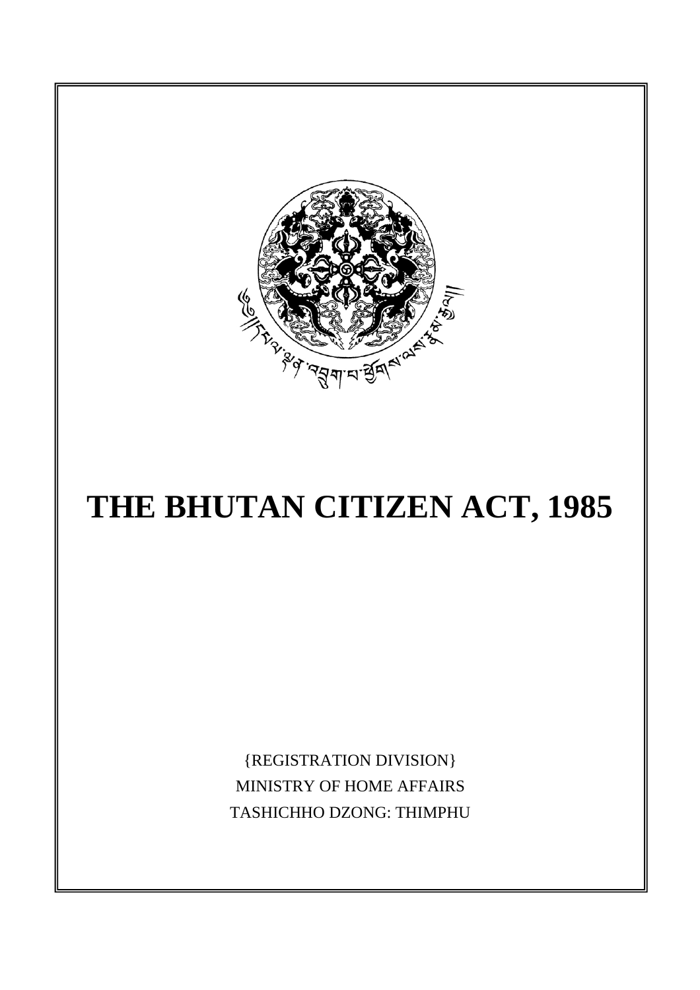

# **THE BHUTAN CITIZEN ACT, 1985**

{REGISTRATION DIVISION} MINISTRY OF HOME AFFAIRS TASHICHHO DZONG: THIMPHU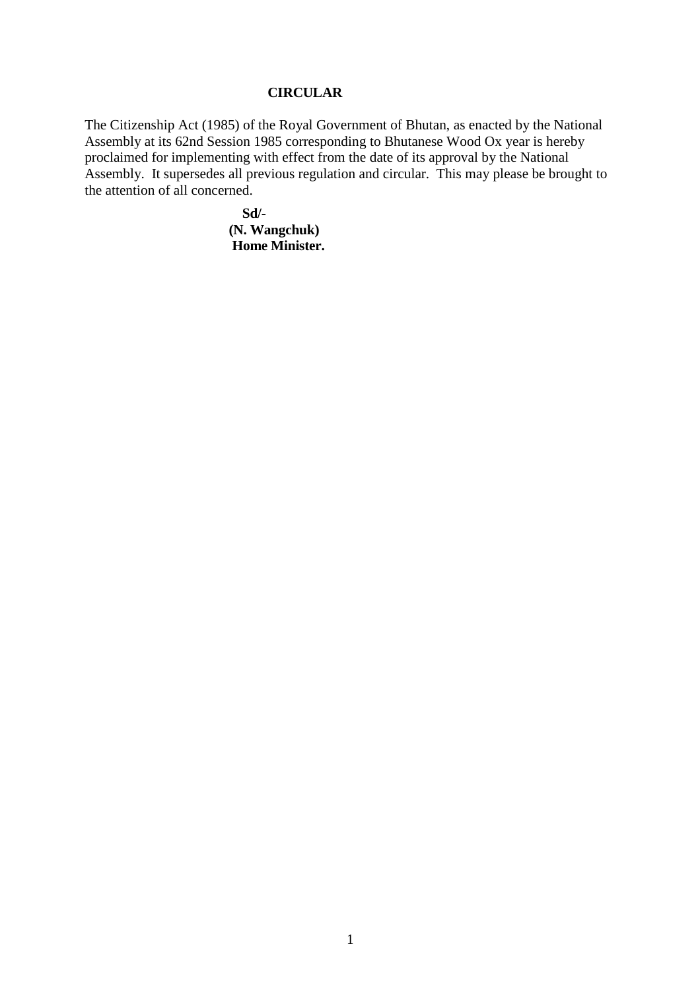#### **CIRCULAR**

The Citizenship Act (1985) of the Royal Government of Bhutan, as enacted by the National Assembly at its 62nd Session 1985 corresponding to Bhutanese Wood Ox year is hereby proclaimed for implementing with effect from the date of its approval by the National Assembly. It supersedes all previous regulation and circular. This may please be brought to the attention of all concerned.

> **Sd/- (N. Wangchuk) Home Minister.**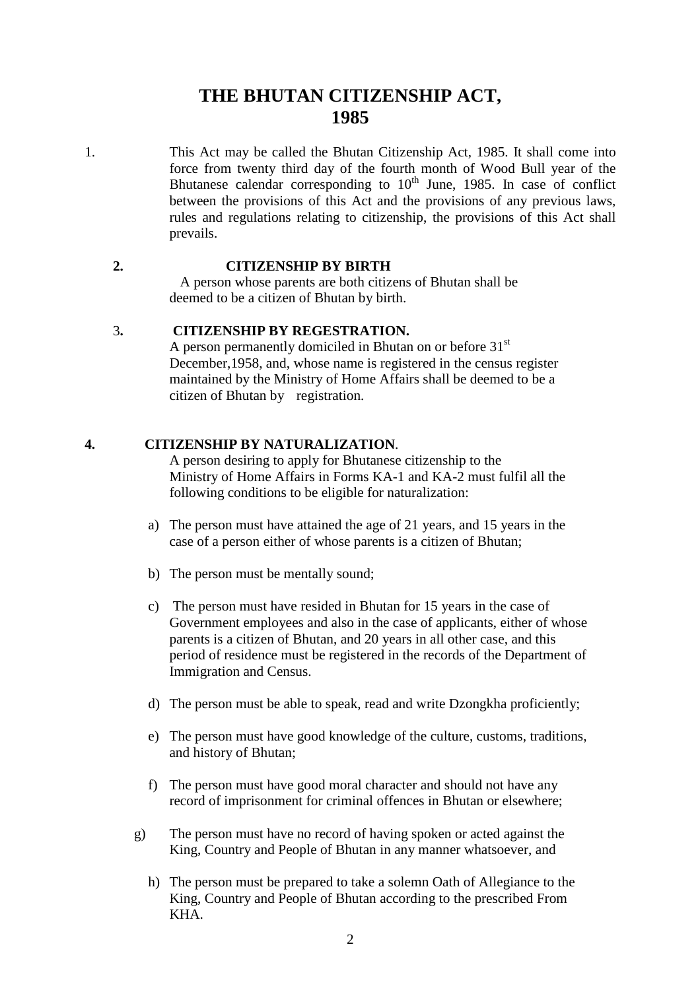# **THE BHUTAN CITIZENSHIP ACT, 1985**

1. This Act may be called the Bhutan Citizenship Act, 1985. It shall come into force from twenty third day of the fourth month of Wood Bull year of the Bhutanese calendar corresponding to  $10<sup>th</sup>$  June, 1985. In case of conflict between the provisions of this Act and the provisions of any previous laws, rules and regulations relating to citizenship, the provisions of this Act shall prevails.

#### **2. CITIZENSHIP BY BIRTH**

 A person whose parents are both citizens of Bhutan shall be deemed to be a citizen of Bhutan by birth.

#### 3**. CITIZENSHIP BY REGESTRATION.**

A person permanently domiciled in Bhutan on or before  $31<sup>st</sup>$  December,1958, and, whose name is registered in the census register maintained by the Ministry of Home Affairs shall be deemed to be a citizen of Bhutan by registration.

#### **4. CITIZENSHIP BY NATURALIZATION**.

 A person desiring to apply for Bhutanese citizenship to the Ministry of Home Affairs in Forms KA-1 and KA-2 must fulfil all the following conditions to be eligible for naturalization:

- a) The person must have attained the age of 21 years, and 15 years in the case of a person either of whose parents is a citizen of Bhutan;
- b) The person must be mentally sound;
- c) The person must have resided in Bhutan for 15 years in the case of Government employees and also in the case of applicants, either of whose parents is a citizen of Bhutan, and 20 years in all other case, and this period of residence must be registered in the records of the Department of Immigration and Census.
- d) The person must be able to speak, read and write Dzongkha proficiently;
- e) The person must have good knowledge of the culture, customs, traditions, and history of Bhutan;
- f) The person must have good moral character and should not have any record of imprisonment for criminal offences in Bhutan or elsewhere;
- g) The person must have no record of having spoken or acted against the King, Country and People of Bhutan in any manner whatsoever, and
	- h) The person must be prepared to take a solemn Oath of Allegiance to the King, Country and People of Bhutan according to the prescribed From KHA.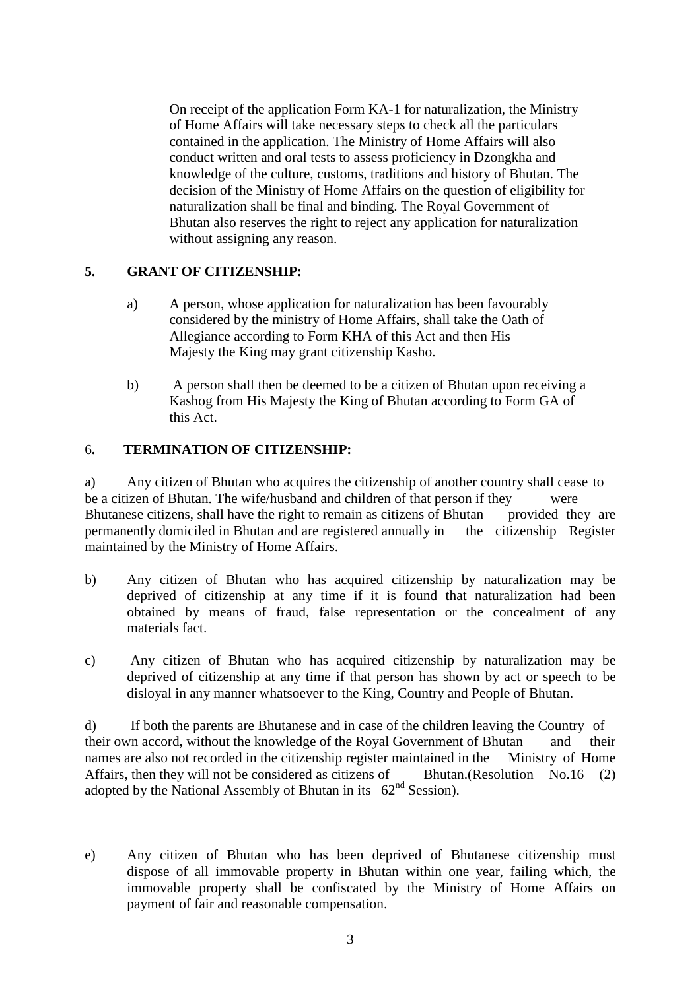On receipt of the application Form KA-1 for naturalization, the Ministry of Home Affairs will take necessary steps to check all the particulars contained in the application. The Ministry of Home Affairs will also conduct written and oral tests to assess proficiency in Dzongkha and knowledge of the culture, customs, traditions and history of Bhutan. The decision of the Ministry of Home Affairs on the question of eligibility for naturalization shall be final and binding. The Royal Government of Bhutan also reserves the right to reject any application for naturalization without assigning any reason.

#### **5. GRANT OF CITIZENSHIP:**

- a) A person, whose application for naturalization has been favourably considered by the ministry of Home Affairs, shall take the Oath of Allegiance according to Form KHA of this Act and then His Majesty the King may grant citizenship Kasho.
- b) A person shall then be deemed to be a citizen of Bhutan upon receiving a Kashog from His Majesty the King of Bhutan according to Form GA of this Act.

#### 6**. TERMINATION OF CITIZENSHIP:**

a) Any citizen of Bhutan who acquires the citizenship of another country shall cease to be a citizen of Bhutan. The wife/husband and children of that person if they were Bhutanese citizens, shall have the right to remain as citizens of Bhutan provided they are permanently domiciled in Bhutan and are registered annually in the citizenship Register maintained by the Ministry of Home Affairs.

- b) Any citizen of Bhutan who has acquired citizenship by naturalization may be deprived of citizenship at any time if it is found that naturalization had been obtained by means of fraud, false representation or the concealment of any materials fact.
- c) Any citizen of Bhutan who has acquired citizenship by naturalization may be deprived of citizenship at any time if that person has shown by act or speech to be disloyal in any manner whatsoever to the King, Country and People of Bhutan.

d) If both the parents are Bhutanese and in case of the children leaving the Country of their own accord, without the knowledge of the Royal Government of Bhutan and their names are also not recorded in the citizenship register maintained in the Ministry of Home Affairs, then they will not be considered as citizens of Bhutan.(Resolution No.16 (2) adopted by the National Assembly of Bhutan in its  $62<sup>nd</sup>$  Session).

e) Any citizen of Bhutan who has been deprived of Bhutanese citizenship must dispose of all immovable property in Bhutan within one year, failing which, the immovable property shall be confiscated by the Ministry of Home Affairs on payment of fair and reasonable compensation.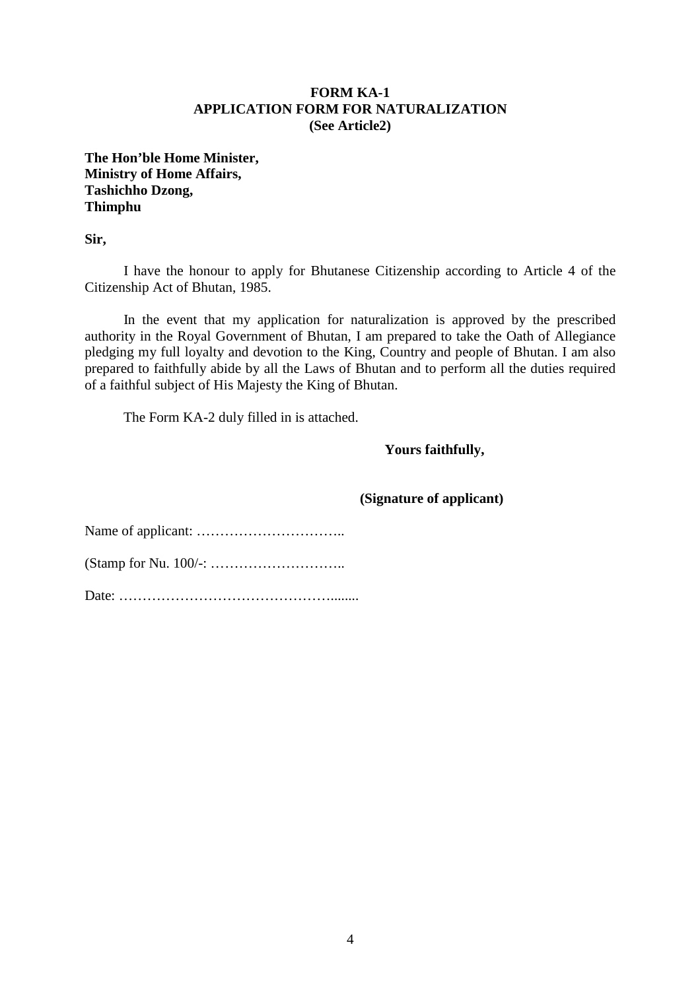#### **FORM KA-1 APPLICATION FORM FOR NATURALIZATION (See Article2)**

**The Hon'ble Home Minister, Ministry of Home Affairs, Tashichho Dzong, Thimphu** 

**Sir,** 

 I have the honour to apply for Bhutanese Citizenship according to Article 4 of the Citizenship Act of Bhutan, 1985.

 In the event that my application for naturalization is approved by the prescribed authority in the Royal Government of Bhutan, I am prepared to take the Oath of Allegiance pledging my full loyalty and devotion to the King, Country and people of Bhutan. I am also prepared to faithfully abide by all the Laws of Bhutan and to perform all the duties required of a faithful subject of His Majesty the King of Bhutan.

The Form KA-2 duly filled in is attached.

**Yours faithfully,** 

 **(Signature of applicant)**

Name of applicant: …………………………..

(Stamp for Nu. 100/-: ………………………..

Date: ………………………………………........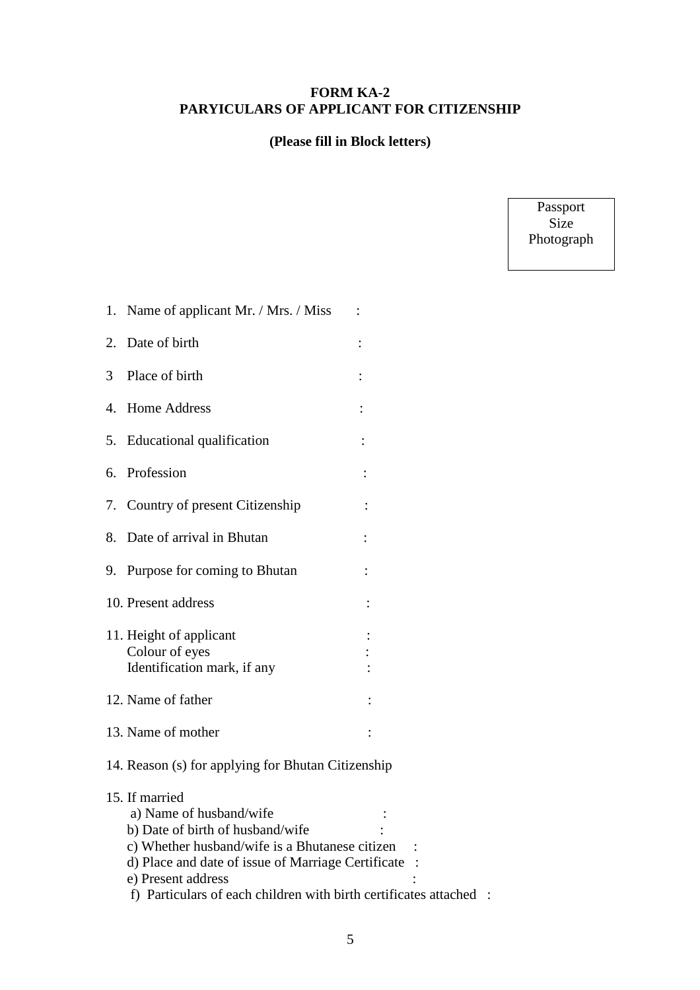## **FORM KA-2 PARYICULARS OF APPLICANT FOR CITIZENSHIP**

## **(Please fill in Block letters)**

Passport Size Photograph

| Name of applicant Mr. / Mrs. / Miss<br>1.                                                                                                                                                                                                                                       |                |
|---------------------------------------------------------------------------------------------------------------------------------------------------------------------------------------------------------------------------------------------------------------------------------|----------------|
| Date of birth<br>2.                                                                                                                                                                                                                                                             | $\ddot{\cdot}$ |
| 3<br>Place of birth                                                                                                                                                                                                                                                             |                |
| <b>Home Address</b><br>4.                                                                                                                                                                                                                                                       |                |
| Educational qualification<br>5.                                                                                                                                                                                                                                                 |                |
| Profession<br>6.                                                                                                                                                                                                                                                                |                |
| Country of present Citizenship<br>7.                                                                                                                                                                                                                                            |                |
| Date of arrival in Bhutan<br>8.                                                                                                                                                                                                                                                 |                |
| 9. Purpose for coming to Bhutan                                                                                                                                                                                                                                                 |                |
| 10. Present address                                                                                                                                                                                                                                                             |                |
| 11. Height of applicant<br>Colour of eyes<br>Identification mark, if any                                                                                                                                                                                                        |                |
| 12. Name of father                                                                                                                                                                                                                                                              |                |
| 13. Name of mother                                                                                                                                                                                                                                                              |                |
| 14. Reason (s) for applying for Bhutan Citizenship                                                                                                                                                                                                                              |                |
| 15. If married<br>a) Name of husband/wife<br>b) Date of birth of husband/wife<br>c) Whether husband/wife is a Bhutanese citizen<br>d) Place and date of issue of Marriage Certificate<br>e) Present address<br>f) Particulars of each children with birth certificates attached |                |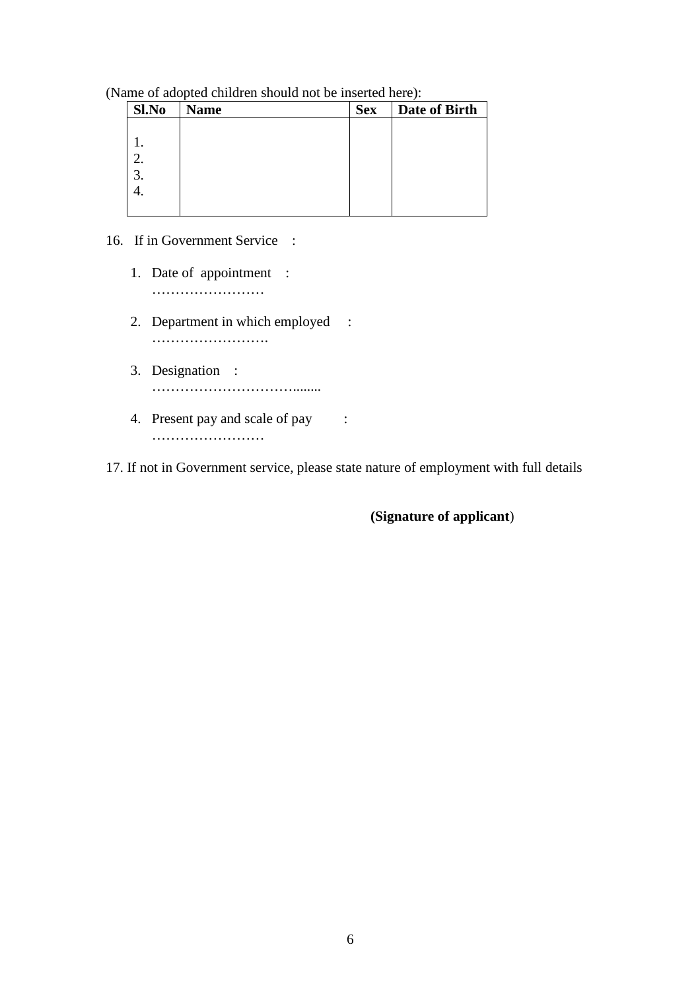(Name of adopted children should not be inserted here):

| <b>Name</b> | <b>Sex</b> | Date of Birth |
|-------------|------------|---------------|
|             |            |               |
|             |            |               |
|             |            |               |
|             |            |               |
|             |            |               |
|             |            |               |
|             |            |               |

- 16. If in Government Service :
	- 1. Date of appointment : ………………………
	- 2. Department in which employed : ………………………
	- 3. Designation : …………………………........
	- 4. Present pay and scale of pay : ……………………………

17. If not in Government service, please state nature of employment with full details

**(Signature of applicant**)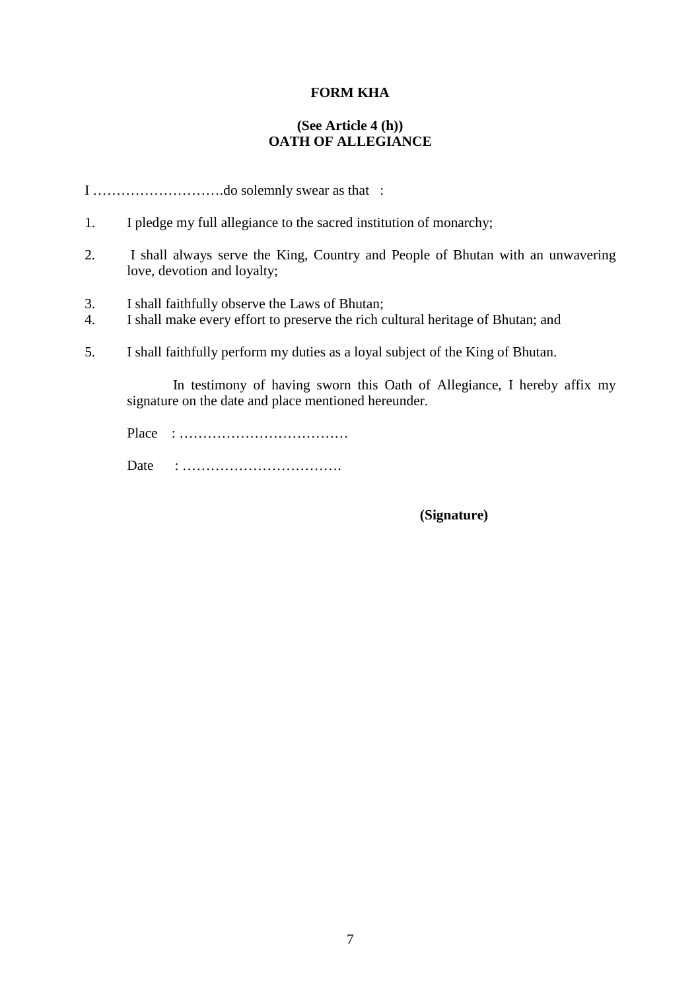#### **FORM KHA**

#### **(See Article 4 (h)) OATH OF ALLEGIANCE**

I ……………………….do solemnly swear as that :

- 1. I pledge my full allegiance to the sacred institution of monarchy;
- 2. I shall always serve the King, Country and People of Bhutan with an unwavering love, devotion and loyalty;
- 3. I shall faithfully observe the Laws of Bhutan;
- 4. I shall make every effort to preserve the rich cultural heritage of Bhutan; and
- 5. I shall faithfully perform my duties as a loyal subject of the King of Bhutan.

 In testimony of having sworn this Oath of Allegiance, I hereby affix my signature on the date and place mentioned hereunder.

 Place : ……………………………… Date : …………………………….

 **(Signature)**